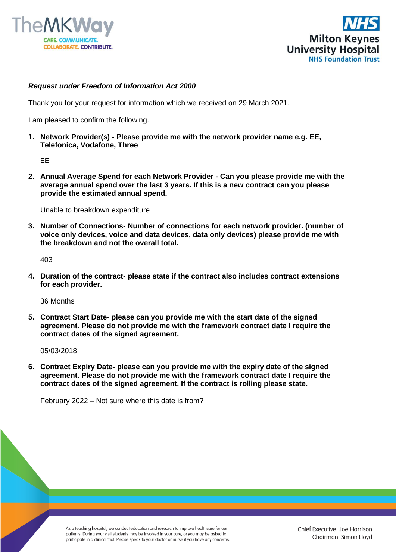



## *Request under Freedom of Information Act 2000*

Thank you for your request for information which we received on 29 March 2021.

I am pleased to confirm the following.

**1. Network Provider(s) - Please provide me with the network provider name e.g. EE, Telefonica, Vodafone, Three**

EE

**2. Annual Average Spend for each Network Provider - Can you please provide me with the average annual spend over the last 3 years. If this is a new contract can you please provide the estimated annual spend.**

Unable to breakdown expenditure

**3. Number of Connections- Number of connections for each network provider. (number of voice only devices, voice and data devices, data only devices) please provide me with the breakdown and not the overall total.**

403

**4. Duration of the contract- please state if the contract also includes contract extensions for each provider.**

36 Months

**5. Contract Start Date- please can you provide me with the start date of the signed agreement. Please do not provide me with the framework contract date I require the contract dates of the signed agreement.** 

05/03/2018

**6. Contract Expiry Date- please can you provide me with the expiry date of the signed agreement. Please do not provide me with the framework contract date I require the contract dates of the signed agreement. If the contract is rolling please state.**

February 2022 – Not sure where this date is from?

As a teaching hospital, we conduct education and research to improve healthcare for our patients. During your visit students may be involved in your care, or you may be asked to participate in a clinical trial. Please speak to your doctor or nurse if you have any concerns.